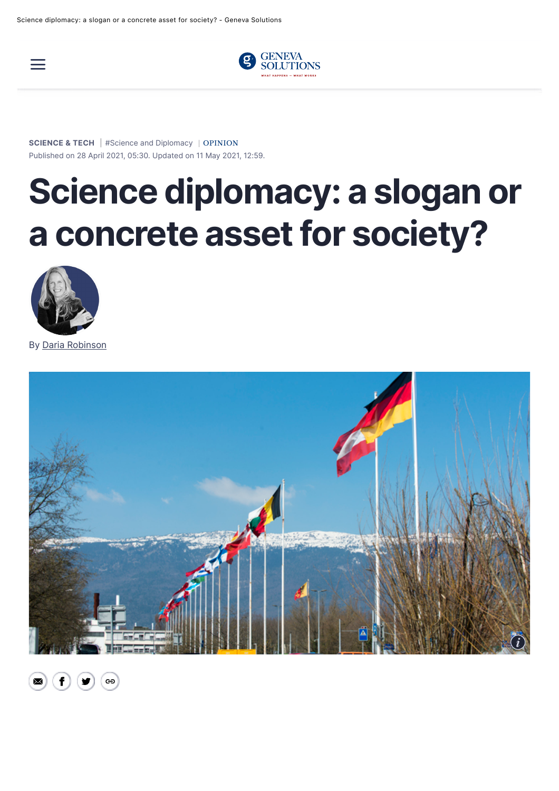



**[SCIENCE & TECH](https://genevasolutions.news/science-tech)** | [#Science and Diplomacy](https://genevasolutions.news/tags/science-and-diplomacy) | [OPINION](https://genevasolutions.news/articles/opinions) Published on 28 April 2021, 05:30. Updated on 11 May 2021, 12:59.

## **Science diplomacy: a slogan or a concrete asset for society?**



By [Daria Robinson](https://genevasolutions.news/profil/daria-robinson)



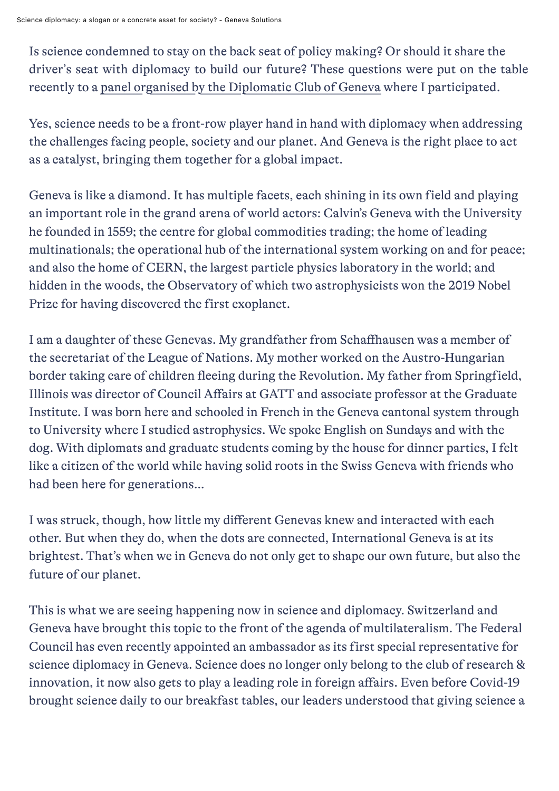Is science condemned to stay on the back seat of policy making? Or should it share the driver's seat with diplomacy to build our future? These questions were put on the table recently to a panel organised by the Diplomatic Club of Geneva where I participated.

Yes, science needs to be a front-row player hand in hand with diplomacy when addressing the challenges facing people, society and our planet. And Geneva is the right place to act as a catalyst, bringing them together for a global impact.

Geneva is like a diamond. It has multiple facets, each shining in its own field and playing an important role in the grand arena of world actors: Calvin's Geneva with the University he founded in 1559; the centre for global commodities trading; the home of leading multinationals; the operational hub of the international system working on and for peace; and also the home of CERN, the largest particle physics laboratory in the world; and hidden in the woods, the Observatory of which two astrophysicists won the 2019 Nobel Prize for having discovered the first exoplanet.

I am a daughter of these Genevas. My grandfather from Schaffhausen was a member of the secretariat of the League of Nations. My mother worked on the Austro-Hungarian border taking care of children fleeing during the Revolution. My father from Springfield, Illinois was director of Council Affairs at GATT and associate professor at the Graduate Institute. I was born here and schooled in French in the Geneva cantonal system through to University where I studied astrophysics. We spoke English on Sundays and with the dog. With diplomats and graduate students coming by the house for dinner parties, I felt like a citizen of the world while having solid roots in the Swiss Geneva with friends who had been here for generations…

I was struck, though, how little my different Genevas knew and interacted with each other. But when they do, when the dots are connected, International Geneva is at its brightest. That's when we in Geneva do not only get to shape our own future, but also the future of our planet.

This is what we are seeing happening now in science and diplomacy. Switzerland and Geneva have brought this topic to the front of the agenda of multilateralism. The Federal Council has even recently appointed an ambassador as its first special representative for science diplomacy in Geneva. Science does no longer only belong to the club of research & innovation, it now also gets to play a leading role in foreign affairs. Even before Covid-19 brought science daily to our breakfast tables, our leaders understood that giving science a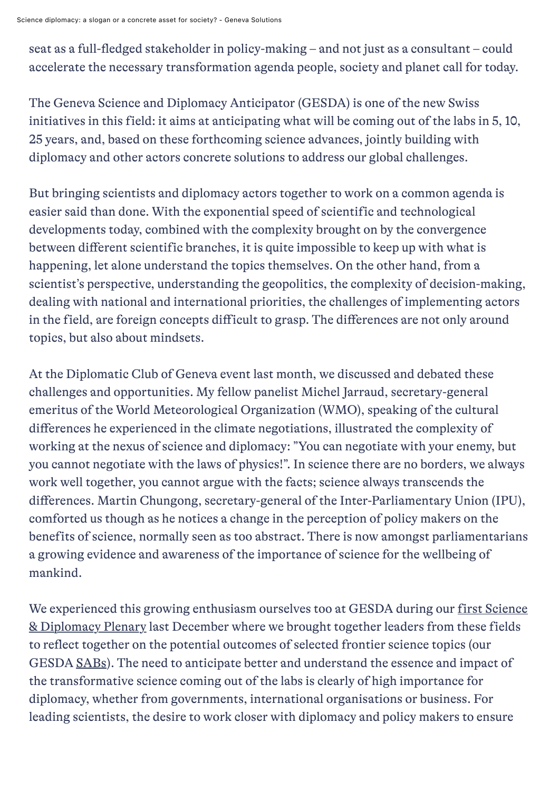Science diplomacy: a slogan or a concrete asset for society? - Geneva Solutions

seat as a full-fledged stakeholder in policy-making – and not just as a consultant – could accelerate the necessary transformation agenda people, society and planet call for today.

The Geneva Science and Diplomacy Anticipator (GESDA) is one of the new Swiss initiatives in this field: it aims at anticipating what will be coming out of the labs in 5, 10, 25 years, and, based on these forthcoming science advances, jointly building with diplomacy and other actors concrete solutions to address our global challenges.

But bringing scientists and diplomacy actors together to work on a common agenda is easier said than done. With the exponential speed of scientific and technological developments today, combined with the complexity brought on by the convergence between different scientific branches, it is quite impossible to keep up with what is happening, let alone understand the topics themselves. On the other hand, from a scientist's perspective, understanding the geopolitics, the complexity of decision-making, dealing with national and international priorities, the challenges of implementing actors in the field, are foreign concepts difficult to grasp. The differences are not only around topics, but also about mindsets.

At the Diplomatic Club of Geneva event last month, we discussed and debated these challenges and opportunities. My fellow panelist Michel Jarraud, secretary-general emeritus of the World Meteorological Organization (WMO), speaking of the cultural differences he experienced in the climate negotiations, illustrated the complexity of working at the nexus of science and diplomacy: "You can negotiate with your enemy, but you cannot negotiate with the laws of physics!". In science there are no borders, we always work well together, you cannot argue with the facts; science always transcends the differences. Martin Chungong, secretary-general of the Inter-Parliamentary Union (IPU), comforted us though as he notices a change in the perception of policy makers on the benefits of science, normally seen as too abstract. There is now amongst parliamentarians a growing evidence and awareness of the importance of science for the wellbeing of mankind.

[We experienced this growing enthusiasm ourselves too at GESDA during our first Science](https://gesda.global/the-first-gesda-science-diplomacy-plenary-session-as-seen-by-the-participants/) & Diplomacy Plenary last December where we brought together leaders from these fields to reflect together on the potential outcomes of selected frontier science topics (our GESDA [SABs](https://gesda.global/scientific-anticipatory-briefs/)). The need to anticipate better and understand the essence and impact of the transformative science coming out of the labs is clearly of high importance for diplomacy, whether from governments, international organisations or business. For leading scientists, the desire to work closer with diplomacy and policy makers to ensure